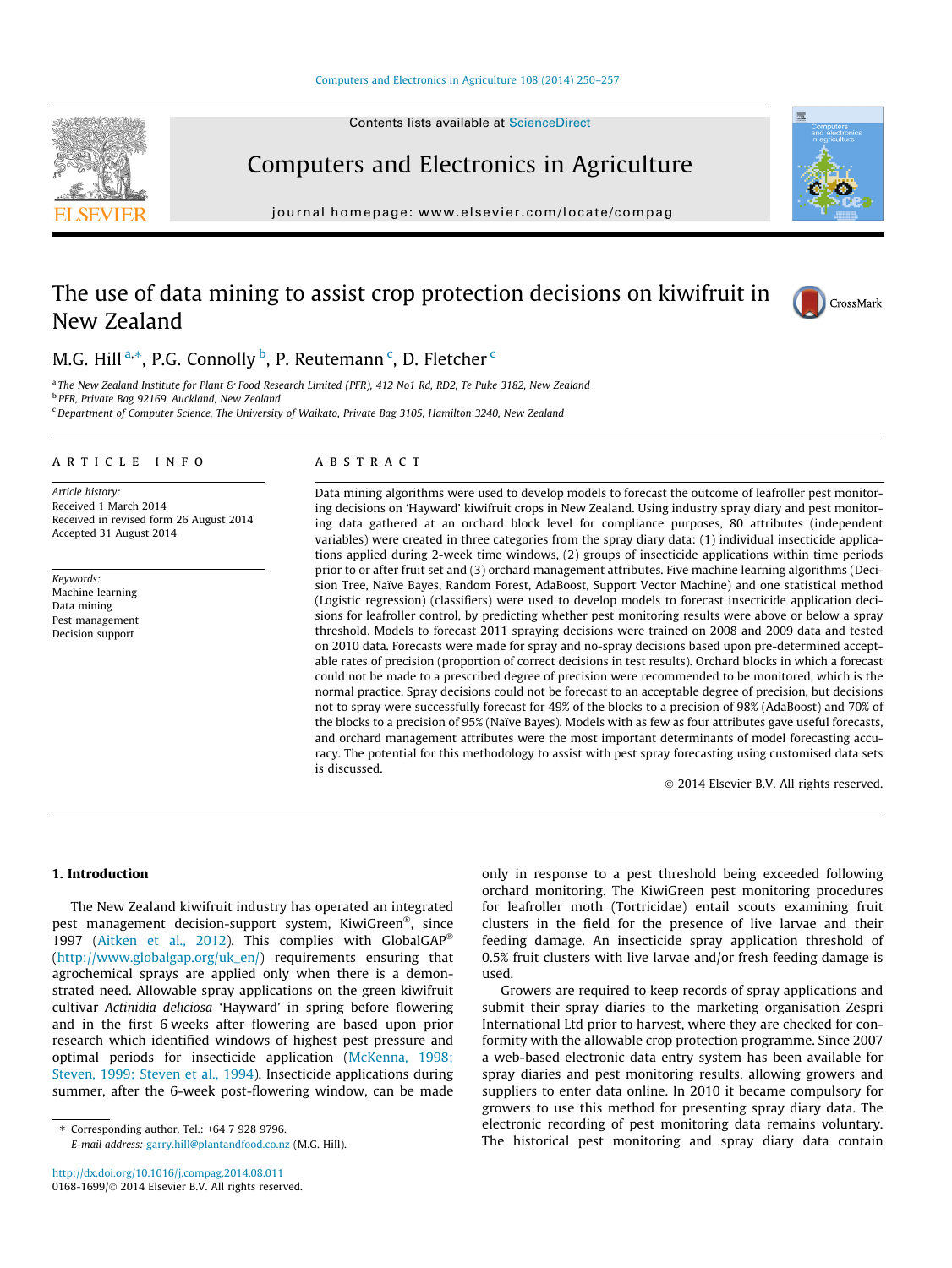Contents lists available at [ScienceDirect](http://www.sciencedirect.com/science/journal/01681699)





journal homepage: [www.elsevier.com/locate/compag](http://www.elsevier.com/locate/compag)

# The use of data mining to assist crop protection decisions on kiwifruit in New Zealand





M.G. Hill <sup>a,\*</sup>, P.G. Connolly <sup>b</sup>, P. Reutemann <sup>c</sup>, D. Fletcher <sup>c</sup>

a The New Zealand Institute for Plant & Food Research Limited (PFR), 412 No1 Rd, RD2, Te Puke 3182, New Zealand

<sup>b</sup> PFR, Private Bag 92169, Auckland, New Zealand

<sup>c</sup> Department of Computer Science, The University of Waikato, Private Bag 3105, Hamilton 3240, New Zealand

# article info

Article history: Received 1 March 2014 Received in revised form 26 August 2014 Accepted 31 August 2014

Keywords: Machine learning Data mining Pest management Decision support

# ABSTRACT

Data mining algorithms were used to develop models to forecast the outcome of leafroller pest monitoring decisions on 'Hayward' kiwifruit crops in New Zealand. Using industry spray diary and pest monitoring data gathered at an orchard block level for compliance purposes, 80 attributes (independent variables) were created in three categories from the spray diary data: (1) individual insecticide applications applied during 2-week time windows, (2) groups of insecticide applications within time periods prior to or after fruit set and (3) orchard management attributes. Five machine learning algorithms (Decision Tree, Naïve Bayes, Random Forest, AdaBoost, Support Vector Machine) and one statistical method (Logistic regression) (classifiers) were used to develop models to forecast insecticide application decisions for leafroller control, by predicting whether pest monitoring results were above or below a spray threshold. Models to forecast 2011 spraying decisions were trained on 2008 and 2009 data and tested on 2010 data. Forecasts were made for spray and no-spray decisions based upon pre-determined acceptable rates of precision (proportion of correct decisions in test results). Orchard blocks in which a forecast could not be made to a prescribed degree of precision were recommended to be monitored, which is the normal practice. Spray decisions could not be forecast to an acceptable degree of precision, but decisions not to spray were successfully forecast for 49% of the blocks to a precision of 98% (AdaBoost) and 70% of the blocks to a precision of 95% (Naïve Bayes). Models with as few as four attributes gave useful forecasts, and orchard management attributes were the most important determinants of model forecasting accuracy. The potential for this methodology to assist with pest spray forecasting using customised data sets is discussed.

- 2014 Elsevier B.V. All rights reserved.

# 1. Introduction

The New Zealand kiwifruit industry has operated an integrated pest management decision-support system, KiwiGreen®, since 1997 [\(Aitken et al., 2012\)](#page-6-0). This complies with GlobalGAP<sup>®</sup> ([http://www.globalgap.org/uk\\_en/\)](http://www.globalgap.org/uk_en/) requirements ensuring that agrochemical sprays are applied only when there is a demonstrated need. Allowable spray applications on the green kiwifruit cultivar Actinidia deliciosa 'Hayward' in spring before flowering and in the first 6 weeks after flowering are based upon prior research which identified windows of highest pest pressure and optimal periods for insecticide application [\(McKenna, 1998;](#page-7-0) [Steven, 1999; Steven et al., 1994\)](#page-7-0). Insecticide applications during summer, after the 6-week post-flowering window, can be made

⇑ Corresponding author. Tel.: +64 7 928 9796. E-mail address: [garry.hill@plantandfood.co.nz](mailto:garry.hill@plantandfood.co.nz) (M.G. Hill). only in response to a pest threshold being exceeded following orchard monitoring. The KiwiGreen pest monitoring procedures for leafroller moth (Tortricidae) entail scouts examining fruit clusters in the field for the presence of live larvae and their feeding damage. An insecticide spray application threshold of 0.5% fruit clusters with live larvae and/or fresh feeding damage is used.

Growers are required to keep records of spray applications and submit their spray diaries to the marketing organisation Zespri International Ltd prior to harvest, where they are checked for conformity with the allowable crop protection programme. Since 2007 a web-based electronic data entry system has been available for spray diaries and pest monitoring results, allowing growers and suppliers to enter data online. In 2010 it became compulsory for growers to use this method for presenting spray diary data. The electronic recording of pest monitoring data remains voluntary. The historical pest monitoring and spray diary data contain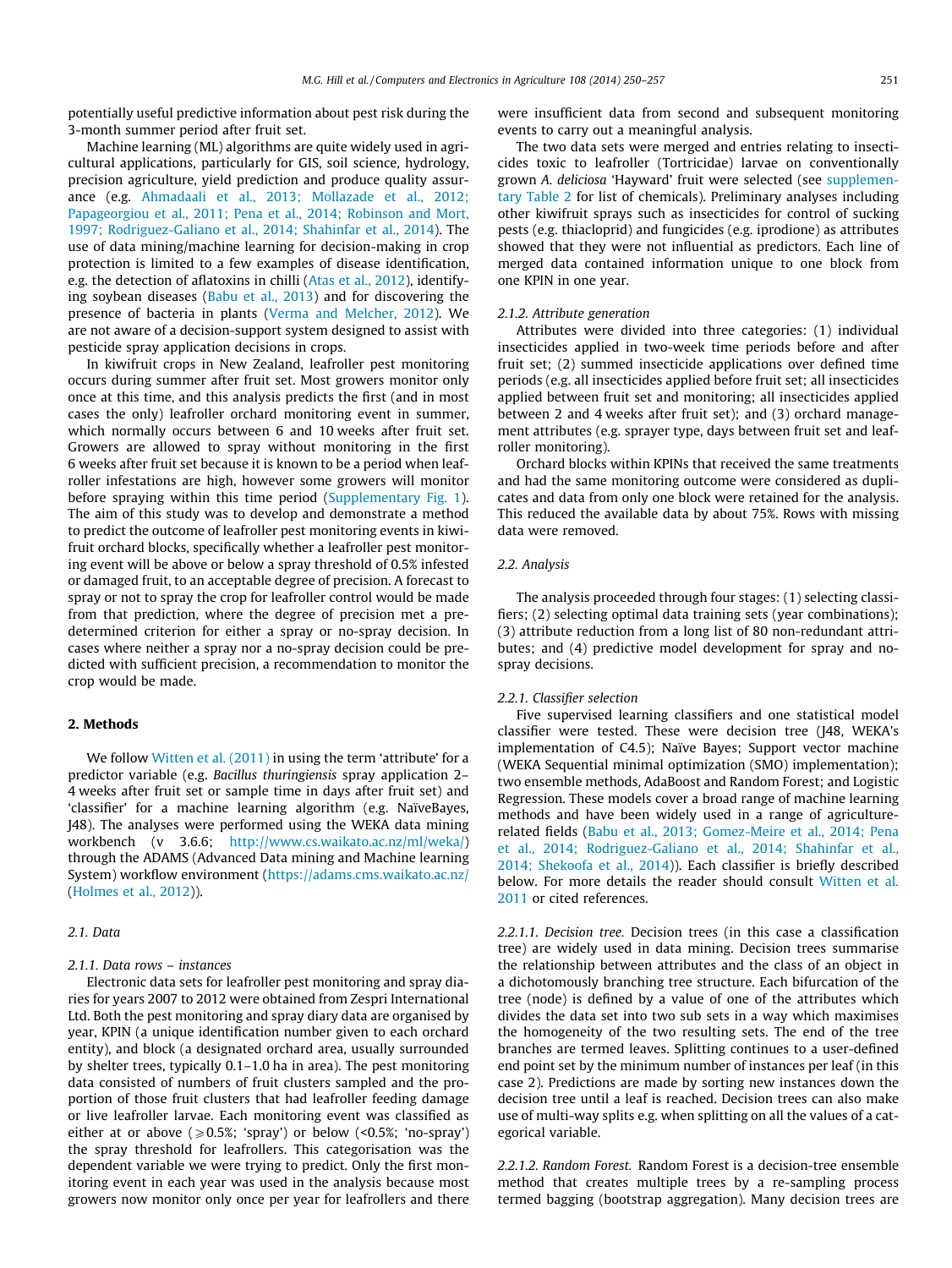potentially useful predictive information about pest risk during the 3-month summer period after fruit set.

Machine learning (ML) algorithms are quite widely used in agricultural applications, particularly for GIS, soil science, hydrology, precision agriculture, yield prediction and produce quality assurance (e.g. [Ahmadaali et al., 2013; Mollazade et al., 2012;](#page-6-0) [Papageorgiou et al., 2011; Pena et al., 2014; Robinson and Mort,](#page-6-0) [1997; Rodriguez-Galiano et al., 2014; Shahinfar et al., 2014\)](#page-6-0). The use of data mining/machine learning for decision-making in crop protection is limited to a few examples of disease identification, e.g. the detection of aflatoxins in chilli [\(Atas et al., 2012\)](#page-6-0), identifying soybean diseases [\(Babu et al., 2013](#page-6-0)) and for discovering the presence of bacteria in plants [\(Verma and Melcher, 2012\)](#page-7-0). We are not aware of a decision-support system designed to assist with pesticide spray application decisions in crops.

In kiwifruit crops in New Zealand, leafroller pest monitoring occurs during summer after fruit set. Most growers monitor only once at this time, and this analysis predicts the first (and in most cases the only) leafroller orchard monitoring event in summer, which normally occurs between 6 and 10 weeks after fruit set. Growers are allowed to spray without monitoring in the first 6 weeks after fruit set because it is known to be a period when leafroller infestations are high, however some growers will monitor before spraying within this time period (Supplementary Fig. 1). The aim of this study was to develop and demonstrate a method to predict the outcome of leafroller pest monitoring events in kiwifruit orchard blocks, specifically whether a leafroller pest monitoring event will be above or below a spray threshold of 0.5% infested or damaged fruit, to an acceptable degree of precision. A forecast to spray or not to spray the crop for leafroller control would be made from that prediction, where the degree of precision met a predetermined criterion for either a spray or no-spray decision. In cases where neither a spray nor a no-spray decision could be predicted with sufficient precision, a recommendation to monitor the crop would be made.

# 2. Methods

We follow [Witten et al. \(2011\)](#page-7-0) in using the term 'attribute' for a predictor variable (e.g. Bacillus thuringiensis spray application 2– 4 weeks after fruit set or sample time in days after fruit set) and 'classifier' for a machine learning algorithm (e.g. NaïveBayes, J48). The analyses were performed using the WEKA data mining workbench (v 3.6.6; [http://www.cs.waikato.ac.nz/ml/weka/\)](http://www.cs.waikato.ac.nz/ml/weka/) through the ADAMS (Advanced Data mining and Machine learning System) workflow environment (<https://adams.cms.waikato.ac.nz/> ([Holmes et al., 2012](#page-6-0))).

### 2.1. Data

### 2.1.1. Data rows – instances

Electronic data sets for leafroller pest monitoring and spray diaries for years 2007 to 2012 were obtained from Zespri International Ltd. Both the pest monitoring and spray diary data are organised by year, KPIN (a unique identification number given to each orchard entity), and block (a designated orchard area, usually surrounded by shelter trees, typically 0.1–1.0 ha in area). The pest monitoring data consisted of numbers of fruit clusters sampled and the proportion of those fruit clusters that had leafroller feeding damage or live leafroller larvae. Each monitoring event was classified as either at or above ( $\geq 0.5\%$ ; 'spray') or below (<0.5%; 'no-spray') the spray threshold for leafrollers. This categorisation was the dependent variable we were trying to predict. Only the first monitoring event in each year was used in the analysis because most growers now monitor only once per year for leafrollers and there were insufficient data from second and subsequent monitoring events to carry out a meaningful analysis.

The two data sets were merged and entries relating to insecticides toxic to leafroller (Tortricidae) larvae on conventionally grown A. deliciosa 'Hayward' fruit were selected (see supplementary Table 2 for list of chemicals). Preliminary analyses including other kiwifruit sprays such as insecticides for control of sucking pests (e.g. thiacloprid) and fungicides (e.g. iprodione) as attributes showed that they were not influential as predictors. Each line of merged data contained information unique to one block from one KPIN in one year.

### 2.1.2. Attribute generation

Attributes were divided into three categories: (1) individual insecticides applied in two-week time periods before and after fruit set; (2) summed insecticide applications over defined time periods (e.g. all insecticides applied before fruit set; all insecticides applied between fruit set and monitoring; all insecticides applied between 2 and 4 weeks after fruit set); and (3) orchard management attributes (e.g. sprayer type, days between fruit set and leafroller monitoring).

Orchard blocks within KPINs that received the same treatments and had the same monitoring outcome were considered as duplicates and data from only one block were retained for the analysis. This reduced the available data by about 75%. Rows with missing data were removed.

### 2.2. Analysis

The analysis proceeded through four stages: (1) selecting classifiers; (2) selecting optimal data training sets (year combinations); (3) attribute reduction from a long list of 80 non-redundant attributes; and (4) predictive model development for spray and nospray decisions.

# 2.2.1. Classifier selection

Five supervised learning classifiers and one statistical model classifier were tested. These were decision tree (J48, WEKA's implementation of C4.5); Naïve Bayes; Support vector machine (WEKA Sequential minimal optimization (SMO) implementation); two ensemble methods, AdaBoost and Random Forest; and Logistic Regression. These models cover a broad range of machine learning methods and have been widely used in a range of agriculturerelated fields ([Babu et al., 2013; Gomez-Meire et al., 2014; Pena](#page-6-0) [et al., 2014; Rodriguez-Galiano et al., 2014; Shahinfar et al.,](#page-6-0) [2014; Shekoofa et al., 2014\)](#page-6-0)). Each classifier is briefly described below. For more details the reader should consult [Witten et al.](#page-7-0) [2011](#page-7-0) or cited references.

2.2.1.1. Decision tree. Decision trees (in this case a classification tree) are widely used in data mining. Decision trees summarise the relationship between attributes and the class of an object in a dichotomously branching tree structure. Each bifurcation of the tree (node) is defined by a value of one of the attributes which divides the data set into two sub sets in a way which maximises the homogeneity of the two resulting sets. The end of the tree branches are termed leaves. Splitting continues to a user-defined end point set by the minimum number of instances per leaf (in this case 2). Predictions are made by sorting new instances down the decision tree until a leaf is reached. Decision trees can also make use of multi-way splits e.g. when splitting on all the values of a categorical variable.

2.2.1.2. Random Forest. Random Forest is a decision-tree ensemble method that creates multiple trees by a re-sampling process termed bagging (bootstrap aggregation). Many decision trees are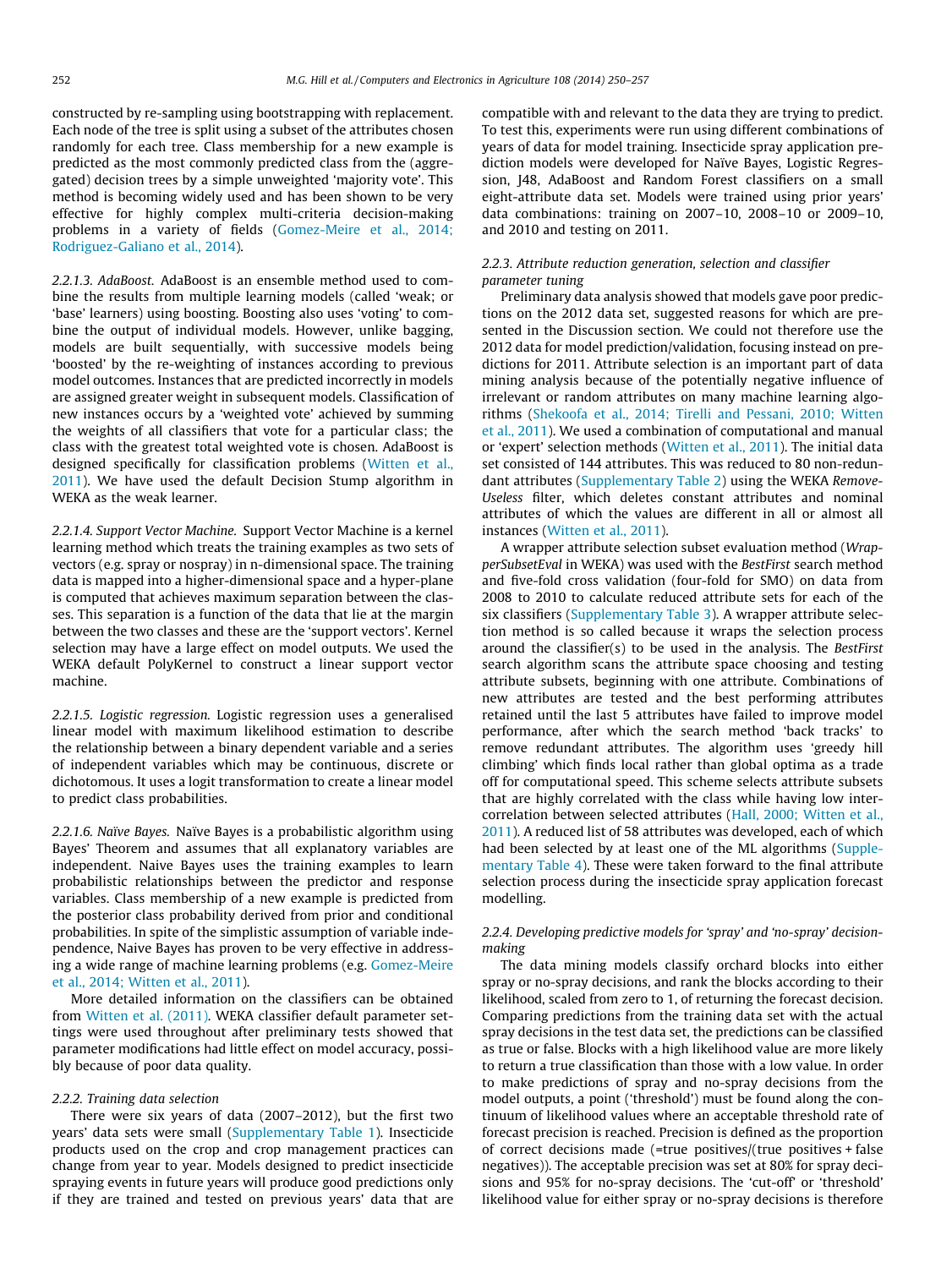constructed by re-sampling using bootstrapping with replacement. Each node of the tree is split using a subset of the attributes chosen randomly for each tree. Class membership for a new example is predicted as the most commonly predicted class from the (aggregated) decision trees by a simple unweighted 'majority vote'. This method is becoming widely used and has been shown to be very effective for highly complex multi-criteria decision-making problems in a variety of fields ([Gomez-Meire et al., 2014;](#page-6-0) [Rodriguez-Galiano et al., 2014\)](#page-6-0).

2.2.1.3. AdaBoost. AdaBoost is an ensemble method used to combine the results from multiple learning models (called 'weak; or 'base' learners) using boosting. Boosting also uses 'voting' to combine the output of individual models. However, unlike bagging, models are built sequentially, with successive models being 'boosted' by the re-weighting of instances according to previous model outcomes. Instances that are predicted incorrectly in models are assigned greater weight in subsequent models. Classification of new instances occurs by a 'weighted vote' achieved by summing the weights of all classifiers that vote for a particular class; the class with the greatest total weighted vote is chosen. AdaBoost is designed specifically for classification problems [\(Witten et al.,](#page-7-0) [2011\)](#page-7-0). We have used the default Decision Stump algorithm in WEKA as the weak learner.

2.2.1.4. Support Vector Machine. Support Vector Machine is a kernel learning method which treats the training examples as two sets of vectors (e.g. spray or nospray) in n-dimensional space. The training data is mapped into a higher-dimensional space and a hyper-plane is computed that achieves maximum separation between the classes. This separation is a function of the data that lie at the margin between the two classes and these are the 'support vectors'. Kernel selection may have a large effect on model outputs. We used the WEKA default PolyKernel to construct a linear support vector machine.

2.2.1.5. Logistic regression. Logistic regression uses a generalised linear model with maximum likelihood estimation to describe the relationship between a binary dependent variable and a series of independent variables which may be continuous, discrete or dichotomous. It uses a logit transformation to create a linear model to predict class probabilities.

2.2.1.6. Naïve Bayes. Naïve Bayes is a probabilistic algorithm using Bayes' Theorem and assumes that all explanatory variables are independent. Naive Bayes uses the training examples to learn probabilistic relationships between the predictor and response variables. Class membership of a new example is predicted from the posterior class probability derived from prior and conditional probabilities. In spite of the simplistic assumption of variable independence, Naive Bayes has proven to be very effective in addressing a wide range of machine learning problems (e.g. [Gomez-Meire](#page-6-0) [et al., 2014; Witten et al., 2011](#page-6-0)).

More detailed information on the classifiers can be obtained from [Witten et al. \(2011\)](#page-7-0). WEKA classifier default parameter settings were used throughout after preliminary tests showed that parameter modifications had little effect on model accuracy, possibly because of poor data quality.

### 2.2.2. Training data selection

There were six years of data (2007–2012), but the first two years' data sets were small (Supplementary Table 1). Insecticide products used on the crop and crop management practices can change from year to year. Models designed to predict insecticide spraying events in future years will produce good predictions only if they are trained and tested on previous years' data that are compatible with and relevant to the data they are trying to predict. To test this, experiments were run using different combinations of years of data for model training. Insecticide spray application prediction models were developed for Naïve Bayes, Logistic Regression, J48, AdaBoost and Random Forest classifiers on a small eight-attribute data set. Models were trained using prior years' data combinations: training on 2007–10, 2008–10 or 2009–10, and 2010 and testing on 2011.

# 2.2.3. Attribute reduction generation, selection and classifier parameter tuning

Preliminary data analysis showed that models gave poor predictions on the 2012 data set, suggested reasons for which are presented in the Discussion section. We could not therefore use the 2012 data for model prediction/validation, focusing instead on predictions for 2011. Attribute selection is an important part of data mining analysis because of the potentially negative influence of irrelevant or random attributes on many machine learning algorithms ([Shekoofa et al., 2014; Tirelli and Pessani, 2010; Witten](#page-7-0) [et al., 2011\)](#page-7-0). We used a combination of computational and manual or 'expert' selection methods [\(Witten et al., 2011\)](#page-7-0). The initial data set consisted of 144 attributes. This was reduced to 80 non-redundant attributes (Supplementary Table 2) using the WEKA Remove-Useless filter, which deletes constant attributes and nominal attributes of which the values are different in all or almost all instances ([Witten et al., 2011\)](#page-7-0).

A wrapper attribute selection subset evaluation method (WrapperSubsetEval in WEKA) was used with the BestFirst search method and five-fold cross validation (four-fold for SMO) on data from 2008 to 2010 to calculate reduced attribute sets for each of the six classifiers (Supplementary Table 3). A wrapper attribute selection method is so called because it wraps the selection process around the classifier(s) to be used in the analysis. The BestFirst search algorithm scans the attribute space choosing and testing attribute subsets, beginning with one attribute. Combinations of new attributes are tested and the best performing attributes retained until the last 5 attributes have failed to improve model performance, after which the search method 'back tracks' to remove redundant attributes. The algorithm uses 'greedy hill climbing' which finds local rather than global optima as a trade off for computational speed. This scheme selects attribute subsets that are highly correlated with the class while having low intercorrelation between selected attributes ([Hall, 2000; Witten et al.,](#page-6-0) [2011\)](#page-6-0). A reduced list of 58 attributes was developed, each of which had been selected by at least one of the ML algorithms (Supplementary Table 4). These were taken forward to the final attribute selection process during the insecticide spray application forecast modelling.

# 2.2.4. Developing predictive models for 'spray' and 'no-spray' decisionmaking

The data mining models classify orchard blocks into either spray or no-spray decisions, and rank the blocks according to their likelihood, scaled from zero to 1, of returning the forecast decision. Comparing predictions from the training data set with the actual spray decisions in the test data set, the predictions can be classified as true or false. Blocks with a high likelihood value are more likely to return a true classification than those with a low value. In order to make predictions of spray and no-spray decisions from the model outputs, a point ('threshold') must be found along the continuum of likelihood values where an acceptable threshold rate of forecast precision is reached. Precision is defined as the proportion of correct decisions made (=true positives/(true positives + false negatives)). The acceptable precision was set at 80% for spray decisions and 95% for no-spray decisions. The 'cut-off' or 'threshold' likelihood value for either spray or no-spray decisions is therefore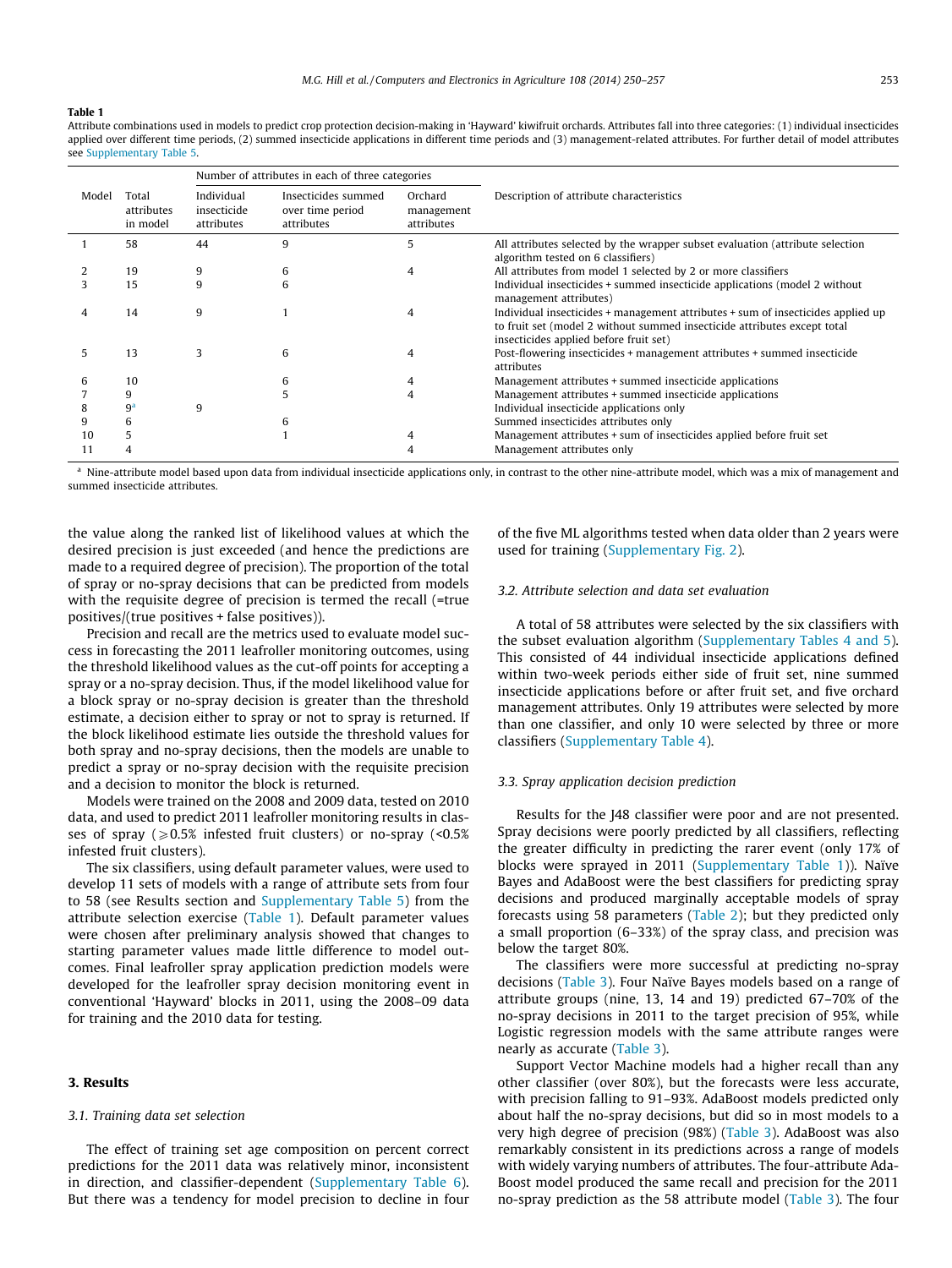#### <span id="page-3-0"></span>Table 1

Attribute combinations used in models to predict crop protection decision-making in 'Hayward' kiwifruit orchards. Attributes fall into three categories: (1) individual insecticides applied over different time periods, (2) summed insecticide applications in different time periods and (3) management-related attributes. For further detail of model attributes see Supplementary Table 5.

|       | Total<br>attributes<br>in model | Number of attributes in each of three categories |                                                       |                                     |                                                                                                                                                                                                        |  |  |
|-------|---------------------------------|--------------------------------------------------|-------------------------------------------------------|-------------------------------------|--------------------------------------------------------------------------------------------------------------------------------------------------------------------------------------------------------|--|--|
| Model |                                 | Individual<br>insecticide<br>attributes          | Insecticides summed<br>over time period<br>attributes | Orchard<br>management<br>attributes | Description of attribute characteristics                                                                                                                                                               |  |  |
|       | 58                              | 44                                               | 9                                                     |                                     | All attributes selected by the wrapper subset evaluation (attribute selection<br>algorithm tested on 6 classifiers)                                                                                    |  |  |
|       | 19                              | 9                                                | 6                                                     |                                     | All attributes from model 1 selected by 2 or more classifiers                                                                                                                                          |  |  |
|       | 15                              | q                                                | 6                                                     |                                     | Individual insecticides + summed insecticide applications (model 2 without<br>management attributes)                                                                                                   |  |  |
|       | 14                              | q                                                |                                                       |                                     | Individual insecticides + management attributes + sum of insecticides applied up<br>to fruit set (model 2 without summed insecticide attributes except total<br>insecticides applied before fruit set) |  |  |
| 5     | 13                              |                                                  | 6                                                     |                                     | Post-flowering insecticides + management attributes + summed insecticide<br>attributes                                                                                                                 |  |  |
| 6     | 10                              |                                                  | 6                                                     |                                     | Management attributes + summed insecticide applications                                                                                                                                                |  |  |
|       | 9                               |                                                  |                                                       |                                     | Management attributes + summed insecticide applications                                                                                                                                                |  |  |
|       | 9 <sup>a</sup>                  | q                                                |                                                       |                                     | Individual insecticide applications only                                                                                                                                                               |  |  |
| 9     | b                               |                                                  |                                                       |                                     | Summed insecticides attributes only                                                                                                                                                                    |  |  |
| 10    |                                 |                                                  |                                                       |                                     | Management attributes + sum of insecticides applied before fruit set                                                                                                                                   |  |  |
|       |                                 |                                                  |                                                       |                                     | Management attributes only                                                                                                                                                                             |  |  |

a Nine-attribute model based upon data from individual insecticide applications only, in contrast to the other nine-attribute model, which was a mix of management and summed insecticide attributes.

the value along the ranked list of likelihood values at which the desired precision is just exceeded (and hence the predictions are made to a required degree of precision). The proportion of the total of spray or no-spray decisions that can be predicted from models with the requisite degree of precision is termed the recall (=true positives/(true positives + false positives)).

Precision and recall are the metrics used to evaluate model success in forecasting the 2011 leafroller monitoring outcomes, using the threshold likelihood values as the cut-off points for accepting a spray or a no-spray decision. Thus, if the model likelihood value for a block spray or no-spray decision is greater than the threshold estimate, a decision either to spray or not to spray is returned. If the block likelihood estimate lies outside the threshold values for both spray and no-spray decisions, then the models are unable to predict a spray or no-spray decision with the requisite precision and a decision to monitor the block is returned.

Models were trained on the 2008 and 2009 data, tested on 2010 data, and used to predict 2011 leafroller monitoring results in classes of spray ( $\geq 0.5\%$  infested fruit clusters) or no-spray (<0.5%) infested fruit clusters).

The six classifiers, using default parameter values, were used to develop 11 sets of models with a range of attribute sets from four to 58 (see Results section and Supplementary Table 5) from the attribute selection exercise (Table 1). Default parameter values were chosen after preliminary analysis showed that changes to starting parameter values made little difference to model outcomes. Final leafroller spray application prediction models were developed for the leafroller spray decision monitoring event in conventional 'Hayward' blocks in 2011, using the 2008–09 data for training and the 2010 data for testing.

### 3. Results

# 3.1. Training data set selection

The effect of training set age composition on percent correct predictions for the 2011 data was relatively minor, inconsistent in direction, and classifier-dependent (Supplementary Table 6). But there was a tendency for model precision to decline in four

of the five ML algorithms tested when data older than 2 years were used for training (Supplementary Fig. 2).

### 3.2. Attribute selection and data set evaluation

A total of 58 attributes were selected by the six classifiers with the subset evaluation algorithm (Supplementary Tables 4 and 5). This consisted of 44 individual insecticide applications defined within two-week periods either side of fruit set, nine summed insecticide applications before or after fruit set, and five orchard management attributes. Only 19 attributes were selected by more than one classifier, and only 10 were selected by three or more classifiers (Supplementary Table 4).

### 3.3. Spray application decision prediction

Results for the J48 classifier were poor and are not presented. Spray decisions were poorly predicted by all classifiers, reflecting the greater difficulty in predicting the rarer event (only 17% of blocks were sprayed in 2011 (Supplementary Table 1)). Naïve Bayes and AdaBoost were the best classifiers for predicting spray decisions and produced marginally acceptable models of spray forecasts using 58 parameters ([Table 2\)](#page-4-0); but they predicted only a small proportion (6–33%) of the spray class, and precision was below the target 80%.

The classifiers were more successful at predicting no-spray decisions [\(Table 3](#page-5-0)). Four Naïve Bayes models based on a range of attribute groups (nine, 13, 14 and 19) predicted 67–70% of the no-spray decisions in 2011 to the target precision of 95%, while Logistic regression models with the same attribute ranges were nearly as accurate [\(Table 3\)](#page-5-0).

Support Vector Machine models had a higher recall than any other classifier (over 80%), but the forecasts were less accurate, with precision falling to 91–93%. AdaBoost models predicted only about half the no-spray decisions, but did so in most models to a very high degree of precision (98%) ([Table 3\)](#page-5-0). AdaBoost was also remarkably consistent in its predictions across a range of models with widely varying numbers of attributes. The four-attribute Ada-Boost model produced the same recall and precision for the 2011 no-spray prediction as the 58 attribute model [\(Table 3](#page-5-0)). The four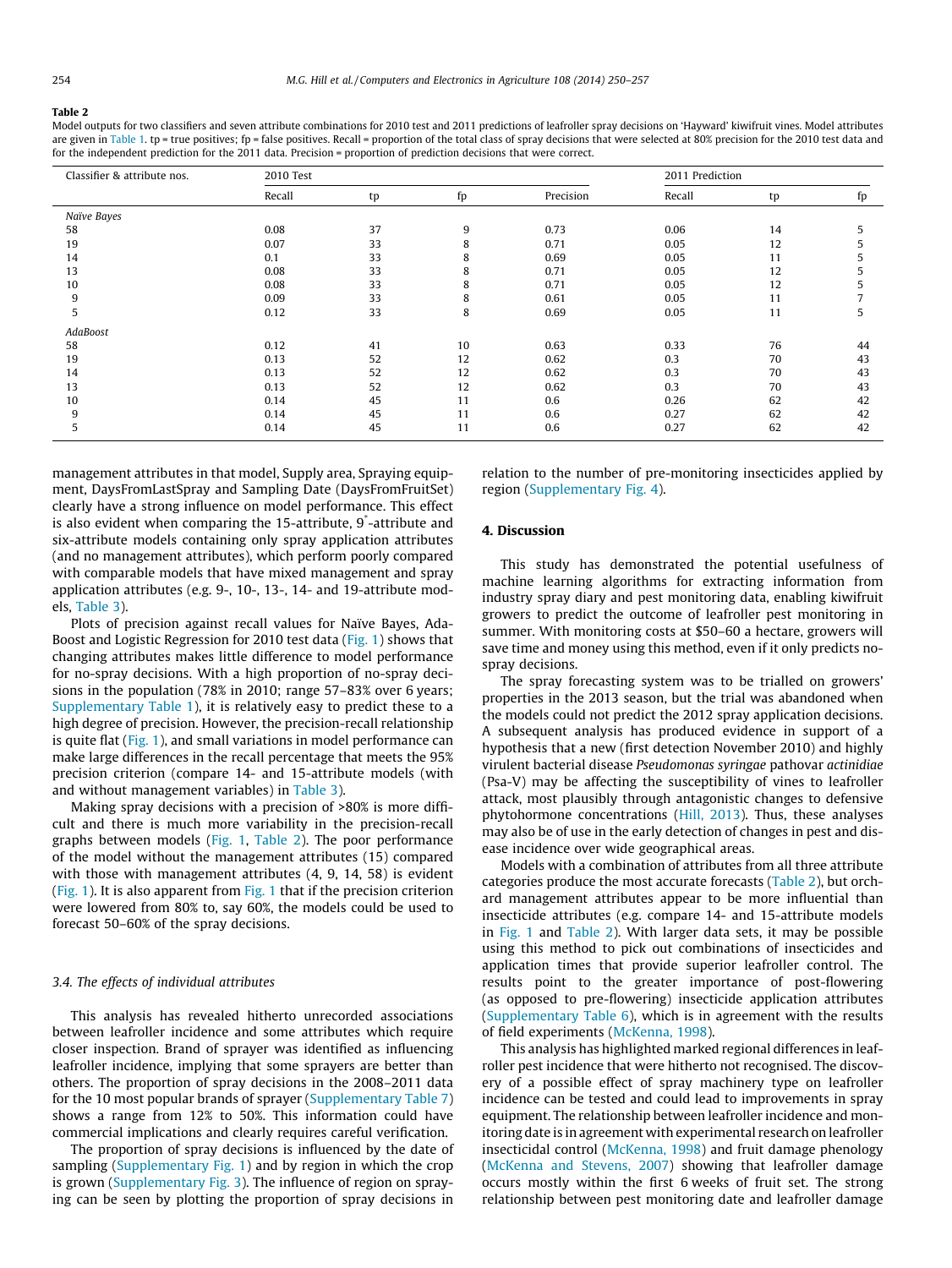#### <span id="page-4-0"></span>Table 2

Model outputs for two classifiers and seven attribute combinations for 2010 test and 2011 predictions of leafroller spray decisions on 'Hayward' kiwifruit vines. Model attributes are given in [Table 1.](#page-3-0) tp = true positives; fp = false positives. Recall = proportion of the total class of spray decisions that were selected at 80% precision for the 2010 test data and for the independent prediction for the 2011 data. Precision = proportion of prediction decisions that were correct.

| Classifier & attribute nos. | 2010 Test |    |    | 2011 Prediction |        |    |    |
|-----------------------------|-----------|----|----|-----------------|--------|----|----|
|                             | Recall    | tp | fp | Precision       | Recall | tp | fp |
| Naïve Bayes                 |           |    |    |                 |        |    |    |
| 58                          | 0.08      | 37 | 9  | 0.73            | 0.06   | 14 | 5  |
| 19                          | 0.07      | 33 | 8  | 0.71            | 0.05   | 12 | כ  |
| 14                          | 0.1       | 33 | 8  | 0.69            | 0.05   | 11 |    |
| 13                          | 0.08      | 33 | 8  | 0.71            | 0.05   | 12 | ר  |
| 10                          | 0.08      | 33 | 8  | 0.71            | 0.05   | 12 | 5  |
| 9                           | 0.09      | 33 | 8  | 0.61            | 0.05   | 11 |    |
| 5                           | 0.12      | 33 | 8  | 0.69            | 0.05   | 11 | C. |
| AdaBoost                    |           |    |    |                 |        |    |    |
| 58                          | 0.12      | 41 | 10 | 0.63            | 0.33   | 76 | 44 |
| 19                          | 0.13      | 52 | 12 | 0.62            | 0.3    | 70 | 43 |
| 14                          | 0.13      | 52 | 12 | 0.62            | 0.3    | 70 | 43 |
| 13                          | 0.13      | 52 | 12 | 0.62            | 0.3    | 70 | 43 |
| 10                          | 0.14      | 45 | 11 | 0.6             | 0.26   | 62 | 42 |
| 9                           | 0.14      | 45 | 11 | 0.6             | 0.27   | 62 | 42 |
| 5                           | 0.14      | 45 | 11 | 0.6             | 0.27   | 62 | 42 |

management attributes in that model, Supply area, Spraying equipment, DaysFromLastSpray and Sampling Date (DaysFromFruitSet) clearly have a strong influence on model performance. This effect is also evident when comparing the 15-attribute, 9\* -attribute and six-attribute models containing only spray application attributes (and no management attributes), which perform poorly compared with comparable models that have mixed management and spray application attributes (e.g. 9-, 10-, 13-, 14- and 19-attribute models, [Table 3](#page-5-0)).

Plots of precision against recall values for Naïve Bayes, Ada-Boost and Logistic Regression for 2010 test data [\(Fig. 1](#page-6-0)) shows that changing attributes makes little difference to model performance for no-spray decisions. With a high proportion of no-spray decisions in the population (78% in 2010; range 57–83% over 6 years; Supplementary Table 1), it is relatively easy to predict these to a high degree of precision. However, the precision-recall relationship is quite flat [\(Fig. 1\)](#page-6-0), and small variations in model performance can make large differences in the recall percentage that meets the 95% precision criterion (compare 14- and 15-attribute models (with and without management variables) in [Table 3\)](#page-5-0).

Making spray decisions with a precision of >80% is more difficult and there is much more variability in the precision-recall graphs between models [\(Fig. 1,](#page-6-0) Table 2). The poor performance of the model without the management attributes (15) compared with those with management attributes (4, 9, 14, 58) is evident ([Fig. 1\)](#page-6-0). It is also apparent from [Fig. 1](#page-6-0) that if the precision criterion were lowered from 80% to, say 60%, the models could be used to forecast 50–60% of the spray decisions.

# 3.4. The effects of individual attributes

This analysis has revealed hitherto unrecorded associations between leafroller incidence and some attributes which require closer inspection. Brand of sprayer was identified as influencing leafroller incidence, implying that some sprayers are better than others. The proportion of spray decisions in the 2008–2011 data for the 10 most popular brands of sprayer (Supplementary Table 7) shows a range from 12% to 50%. This information could have commercial implications and clearly requires careful verification.

The proportion of spray decisions is influenced by the date of sampling (Supplementary Fig. 1) and by region in which the crop is grown (Supplementary Fig. 3). The influence of region on spraying can be seen by plotting the proportion of spray decisions in relation to the number of pre-monitoring insecticides applied by region (Supplementary Fig. 4).

# 4. Discussion

This study has demonstrated the potential usefulness of machine learning algorithms for extracting information from industry spray diary and pest monitoring data, enabling kiwifruit growers to predict the outcome of leafroller pest monitoring in summer. With monitoring costs at \$50–60 a hectare, growers will save time and money using this method, even if it only predicts nospray decisions.

The spray forecasting system was to be trialled on growers' properties in the 2013 season, but the trial was abandoned when the models could not predict the 2012 spray application decisions. A subsequent analysis has produced evidence in support of a hypothesis that a new (first detection November 2010) and highly virulent bacterial disease Pseudomonas syringae pathovar actinidiae (Psa-V) may be affecting the susceptibility of vines to leafroller attack, most plausibly through antagonistic changes to defensive phytohormone concentrations ([Hill, 2013](#page-6-0)). Thus, these analyses may also be of use in the early detection of changes in pest and disease incidence over wide geographical areas.

Models with a combination of attributes from all three attribute categories produce the most accurate forecasts (Table 2), but orchard management attributes appear to be more influential than insecticide attributes (e.g. compare 14- and 15-attribute models in [Fig. 1](#page-6-0) and Table 2). With larger data sets, it may be possible using this method to pick out combinations of insecticides and application times that provide superior leafroller control. The results point to the greater importance of post-flowering (as opposed to pre-flowering) insecticide application attributes (Supplementary Table 6), which is in agreement with the results of field experiments ([McKenna, 1998\)](#page-7-0).

This analysis has highlighted marked regional differences in leafroller pest incidence that were hitherto not recognised. The discovery of a possible effect of spray machinery type on leafroller incidence can be tested and could lead to improvements in spray equipment. The relationship between leafroller incidence and monitoring date is in agreement with experimental research on leafroller insecticidal control ([McKenna, 1998\)](#page-7-0) and fruit damage phenology ([McKenna and Stevens, 2007\)](#page-7-0) showing that leafroller damage occurs mostly within the first 6 weeks of fruit set. The strong relationship between pest monitoring date and leafroller damage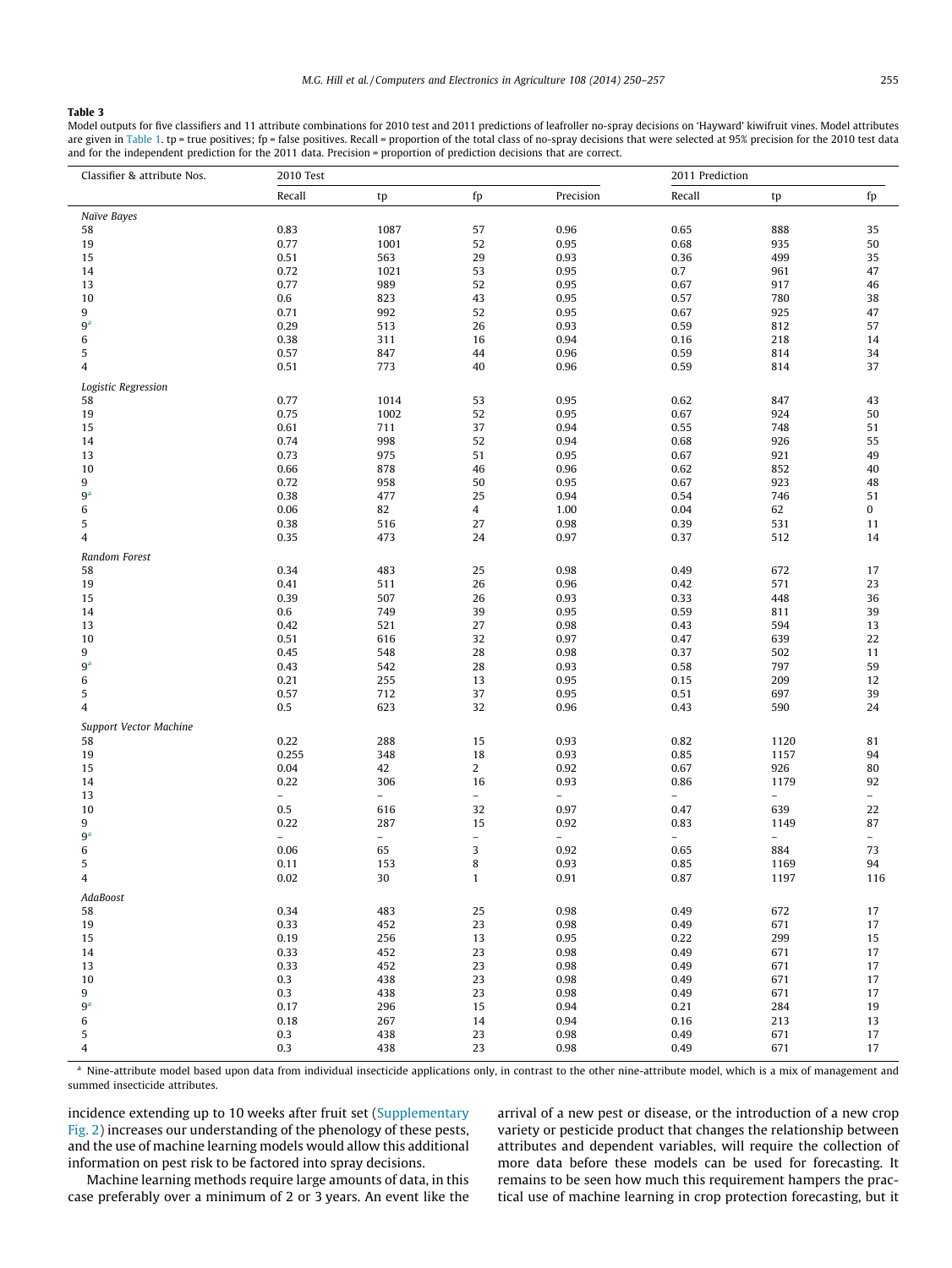### <span id="page-5-0"></span>Table 3

Model outputs for five classifiers and 11 attribute combinations for 2010 test and 2011 predictions of leafroller no-spray decisions on 'Hayward' kiwifruit vines. Model attributes are given in [Table 1.](#page-3-0) tp = true positives; fp = false positives. Recall = proportion of the total class of no-spray decisions that were selected at 95% precision for the 2010 test data and for the independent prediction for the 2011 data. Precision = proportion of prediction decisions that are correct.

| Classifier & attribute Nos.   | 2010 Test                |                          | 2011 Prediction          |                          |                          |                          |                          |
|-------------------------------|--------------------------|--------------------------|--------------------------|--------------------------|--------------------------|--------------------------|--------------------------|
|                               | Recall                   | tp                       | fp                       | Precision                | Recall                   | tp                       | fp                       |
| Naïve Bayes                   |                          |                          |                          |                          |                          |                          |                          |
| 58                            | 0.83                     | 1087                     | 57                       | 0.96                     | 0.65                     | 888                      | 35                       |
| 19                            | 0.77                     | 1001                     | 52                       | 0.95                     | 0.68                     | 935                      | 50                       |
| 15                            | 0.51                     | 563                      | 29                       | 0.93                     | 0.36                     | 499                      | 35                       |
| 14                            | 0.72                     | 1021                     | 53                       | 0.95                     | 0.7                      | 961                      | 47                       |
| 13                            | 0.77                     | 989                      | 52                       | 0.95                     | 0.67                     | 917                      | 46                       |
| 10                            | 0.6                      | 823                      | 43                       | 0.95                     | 0.57                     | 780                      | 38                       |
| 9                             | 0.71                     | 992                      | 52                       | 0.95                     | 0.67                     | 925                      | 47                       |
| 9 <sup>a</sup>                | 0.29                     | 513                      | 26                       | 0.93                     | 0.59                     | 812                      | 57                       |
| 6                             | 0.38                     | 311                      | 16                       | 0.94                     | 0.16                     | 218                      | 14                       |
| 5                             | 0.57                     | 847                      | 44                       | 0.96                     | 0.59                     | 814                      | 34                       |
| $\overline{4}$                | 0.51                     | 773                      | 40                       | 0.96                     | 0.59                     | 814                      | 37                       |
| Logistic Regression           |                          |                          |                          |                          |                          |                          |                          |
| 58                            | 0.77                     | 1014                     | 53                       | 0.95                     | 0.62                     | 847                      | 43                       |
| 19                            | 0.75                     | 1002                     | 52                       | 0.95                     | 0.67                     | 924                      | 50                       |
| 15                            | 0.61                     | 711                      | 37                       | 0.94                     | 0.55                     | 748                      | 51                       |
| 14                            | 0.74                     | 998                      | 52                       | 0.94                     | 0.68                     | 926                      | 55                       |
| 13                            | 0.73                     | 975                      | 51                       | 0.95                     | 0.67                     | 921                      | 49                       |
| 10                            | 0.66                     | 878                      | 46                       | 0.96                     | 0.62                     | 852                      | 40                       |
| 9                             | 0.72                     | 958                      | 50                       | 0.95                     | 0.67                     | 923                      | 48                       |
| 9 <sup>a</sup>                | 0.38                     | 477                      | 25                       | 0.94                     | 0.54                     | 746                      | 51                       |
| 6                             | 0.06                     | 82                       | 4                        | 1.00                     | 0.04                     | 62                       | 0                        |
| 5                             | 0.38                     | 516                      | 27                       | 0.98                     | 0.39                     | 531                      | 11                       |
| $\overline{4}$                | 0.35                     | 473                      | 24                       | 0.97                     | 0.37                     | 512                      | 14                       |
| Random Forest                 |                          |                          |                          |                          |                          |                          |                          |
| 58                            | 0.34                     | 483                      | 25                       | 0.98                     | 0.49                     | 672                      | 17                       |
| 19                            | 0.41                     | 511                      | 26                       | 0.96                     | 0.42                     | 571                      | 23                       |
| 15                            | 0.39                     | 507                      | 26                       | 0.93                     | 0.33                     | 448                      | 36                       |
| 14                            | 0.6                      | 749                      | 39                       | 0.95                     | 0.59                     | 811                      | 39                       |
| 13                            | 0.42                     | 521                      | 27                       | 0.98                     | 0.43                     | 594                      | 13                       |
| 10                            | 0.51                     | 616                      | 32                       | 0.97                     | 0.47                     | 639                      | 22                       |
| 9                             | 0.45                     | 548                      | 28                       | 0.98                     | 0.37                     | 502                      | 11                       |
| 9 <sup>a</sup>                | 0.43                     | 542                      | 28                       | 0.93                     | 0.58                     | 797                      | 59                       |
| 6                             | 0.21                     | 255                      | 13                       | 0.95                     | 0.15                     | 209                      | 12                       |
| 5                             | 0.57                     | 712                      | 37                       | 0.95                     | 0.51                     | 697                      | 39                       |
| $\overline{4}$                | 0.5                      | 623                      | 32                       | 0.96                     | 0.43                     | 590                      | 24                       |
| <b>Support Vector Machine</b> |                          |                          |                          |                          |                          |                          |                          |
| 58                            | 0.22                     | 288                      | 15                       | 0.93                     | 0.82                     | 1120                     | 81                       |
| 19                            | 0.255                    | 348                      | 18                       | 0.93                     | 0.85                     | 1157                     | 94                       |
| 15                            | 0.04                     | 42                       | $\overline{a}$           | 0.92                     | 0.67                     | 926                      | 80                       |
| 14                            | 0.22                     | 306                      | 16                       | 0.93                     | 0.86                     | 1179                     | 92                       |
| 13                            | $\overline{\phantom{0}}$ | $\overline{\phantom{0}}$ | $\overline{\phantom{0}}$ | $\overline{\phantom{a}}$ | $\overline{\phantom{0}}$ | $\overline{\phantom{a}}$ | $\overline{\phantom{0}}$ |
| 10                            | 0.5                      | 616                      | 32                       | 0.97                     | 0.47                     | 639                      | 22                       |
| 9                             | 0.22                     | 287                      | 15                       | 0.92                     | 0.83                     | 1149                     | 87                       |
| 9 <sup>a</sup>                | $\overline{a}$           | $\overline{\phantom{0}}$ | $\overline{\phantom{0}}$ | $\qquad \qquad -$        | $\overline{a}$           | $\overline{a}$           | $\equiv$                 |
| 6                             | 0.06                     | 65                       | 3                        | 0.92                     | 0.65                     | 884                      | 73                       |
| 5                             | 0.11                     | 153                      | 8                        | 0.93                     | 0.85                     | 1169                     | 94                       |
| 4                             | 0.02                     | 30                       | 1                        | 0.91                     | 0.87                     | 1197                     | 116                      |
| AdaBoost                      |                          |                          |                          |                          |                          |                          |                          |
| 58                            | 0.34                     | 483                      | 25                       | 0.98                     | 0.49                     | 672                      | 17                       |
| 19                            | 0.33                     | 452                      | 23                       | 0.98                     | 0.49                     | 671                      | 17                       |
| 15                            | 0.19                     | 256                      | 13                       | 0.95                     | 0.22                     | 299                      | 15                       |
| 14                            | 0.33                     | 452                      | 23                       | 0.98                     | 0.49                     | 671                      | 17                       |
| 13                            | 0.33                     | 452                      | 23                       | 0.98                     | 0.49                     | 671                      | 17                       |
| 10                            | 0.3                      | 438                      | 23                       | 0.98                     | 0.49                     | 671                      | 17                       |
| 9                             | 0.3                      | 438                      | 23                       | 0.98                     | 0.49                     | 671                      | 17                       |
| 9 <sup>a</sup>                | 0.17                     | 296                      | 15                       | 0.94                     | 0.21                     | 284                      | 19                       |
| 6                             | 0.18                     | 267                      | 14                       | 0.94                     | 0.16                     | 213                      | 13                       |
| 5                             | 0.3                      | 438                      | 23                       | 0.98                     | 0.49                     | 671                      | 17                       |
| $\overline{4}$                | 0.3                      | 438                      | 23                       | 0.98                     | 0.49                     | 671                      | 17                       |

<sup>a</sup> Nine-attribute model based upon data from individual insecticide applications only, in contrast to the other nine-attribute model, which is a mix of management and summed insecticide attributes.

incidence extending up to 10 weeks after fruit set (Supplementary Fig. 2) increases our understanding of the phenology of these pests, and the use of machine learning models would allow this additional information on pest risk to be factored into spray decisions.

Machine learning methods require large amounts of data, in this case preferably over a minimum of 2 or 3 years. An event like the

arrival of a new pest or disease, or the introduction of a new crop variety or pesticide product that changes the relationship between attributes and dependent variables, will require the collection of more data before these models can be used for forecasting. It remains to be seen how much this requirement hampers the practical use of machine learning in crop protection forecasting, but it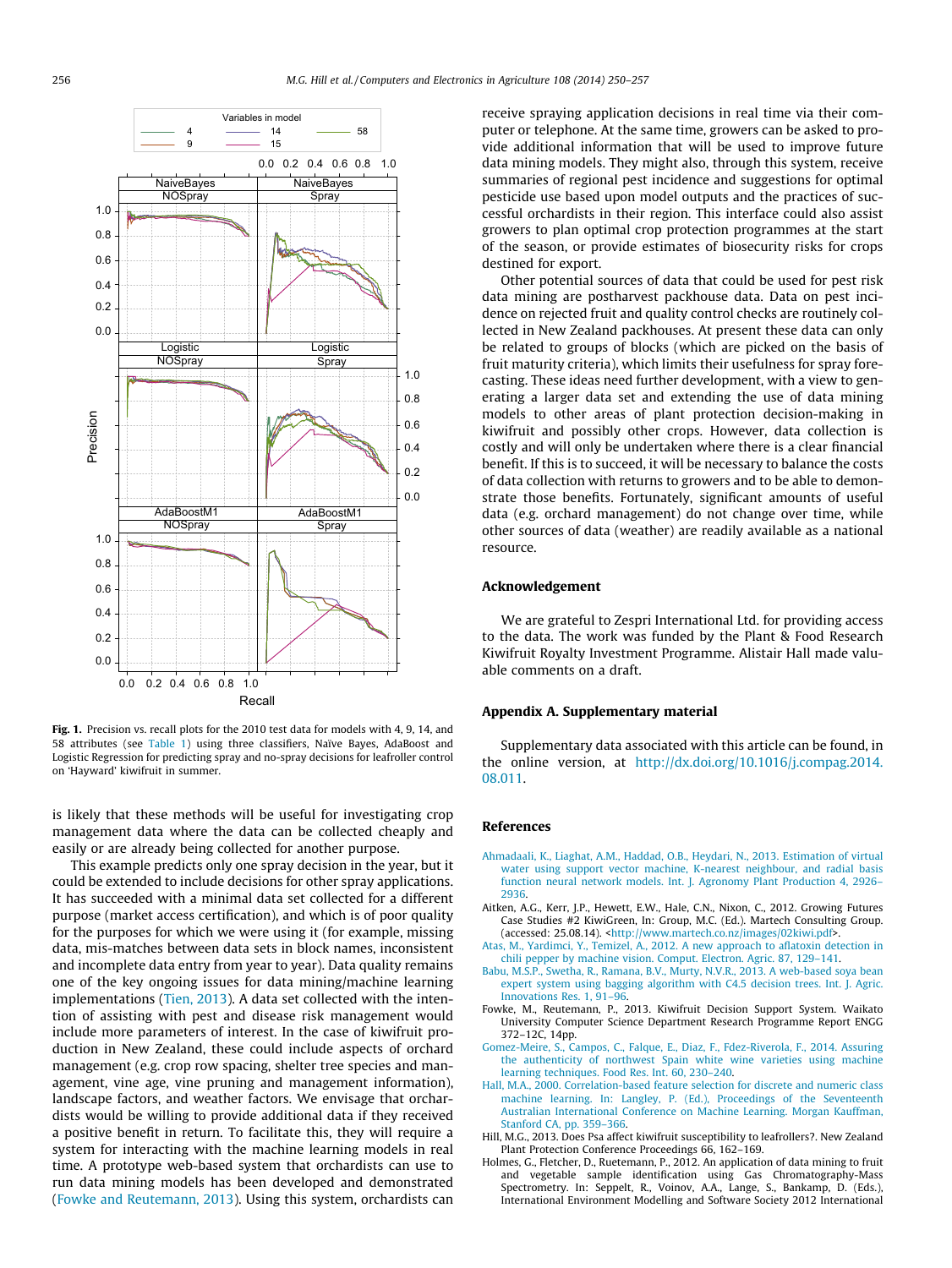<span id="page-6-0"></span>

Fig. 1. Precision vs. recall plots for the 2010 test data for models with 4, 9, 14, and 58 attributes (see [Table 1\)](#page-3-0) using three classifiers, Naïve Bayes, AdaBoost and Logistic Regression for predicting spray and no-spray decisions for leafroller control on 'Hayward' kiwifruit in summer.

is likely that these methods will be useful for investigating crop management data where the data can be collected cheaply and easily or are already being collected for another purpose.

This example predicts only one spray decision in the year, but it could be extended to include decisions for other spray applications. It has succeeded with a minimal data set collected for a different purpose (market access certification), and which is of poor quality for the purposes for which we were using it (for example, missing data, mis-matches between data sets in block names, inconsistent and incomplete data entry from year to year). Data quality remains one of the key ongoing issues for data mining/machine learning implementations ([Tien, 2013](#page-7-0)). A data set collected with the intention of assisting with pest and disease risk management would include more parameters of interest. In the case of kiwifruit production in New Zealand, these could include aspects of orchard management (e.g. crop row spacing, shelter tree species and management, vine age, vine pruning and management information), landscape factors, and weather factors. We envisage that orchardists would be willing to provide additional data if they received a positive benefit in return. To facilitate this, they will require a system for interacting with the machine learning models in real time. A prototype web-based system that orchardists can use to run data mining models has been developed and demonstrated (Fowke and Reutemann, 2013). Using this system, orchardists can receive spraying application decisions in real time via their computer or telephone. At the same time, growers can be asked to provide additional information that will be used to improve future data mining models. They might also, through this system, receive summaries of regional pest incidence and suggestions for optimal pesticide use based upon model outputs and the practices of successful orchardists in their region. This interface could also assist growers to plan optimal crop protection programmes at the start of the season, or provide estimates of biosecurity risks for crops destined for export.

Other potential sources of data that could be used for pest risk data mining are postharvest packhouse data. Data on pest incidence on rejected fruit and quality control checks are routinely collected in New Zealand packhouses. At present these data can only be related to groups of blocks (which are picked on the basis of fruit maturity criteria), which limits their usefulness for spray forecasting. These ideas need further development, with a view to generating a larger data set and extending the use of data mining models to other areas of plant protection decision-making in kiwifruit and possibly other crops. However, data collection is costly and will only be undertaken where there is a clear financial benefit. If this is to succeed, it will be necessary to balance the costs of data collection with returns to growers and to be able to demonstrate those benefits. Fortunately, significant amounts of useful data (e.g. orchard management) do not change over time, while other sources of data (weather) are readily available as a national resource.

# Acknowledgement

We are grateful to Zespri International Ltd. for providing access to the data. The work was funded by the Plant & Food Research Kiwifruit Royalty Investment Programme. Alistair Hall made valuable comments on a draft.

### Appendix A. Supplementary material

Supplementary data associated with this article can be found, in the online version, at [http://dx.doi.org/10.1016/j.compag.2014.](http://dx.doi.org/10.1016/j.compag.2014.08.011) [08.011](http://dx.doi.org/10.1016/j.compag.2014.08.011).

### References

- [Ahmadaali, K., Liaghat, A.M., Haddad, O.B., Heydari, N., 2013. Estimation of virtual](http://refhub.elsevier.com/S0168-1699(14)00210-5/h0005) [water using support vector machine, K-nearest neighbour, and radial basis](http://refhub.elsevier.com/S0168-1699(14)00210-5/h0005) [function neural network models. Int. J. Agronomy Plant Production 4, 2926–](http://refhub.elsevier.com/S0168-1699(14)00210-5/h0005) [2936.](http://refhub.elsevier.com/S0168-1699(14)00210-5/h0005)
- Aitken, A.G., Kerr, J.P., Hewett, E.W., Hale, C.N., Nixon, C., 2012. Growing Futures Case Studies #2 KiwiGreen, In: Group, M.C. (Ed.). Martech Consulting Group. (accessed: 25.08.14). [<http://www.martech.co.nz/images/02kiwi.pdf](http://www.martech.co.nz/images/02kiwi.pdf)>.
- [Atas, M., Yardimci, Y., Temizel, A., 2012. A new approach to aflatoxin detection in](http://refhub.elsevier.com/S0168-1699(14)00210-5/h0015) [chili pepper by machine vision. Comput. Electron. Agric. 87, 129–141](http://refhub.elsevier.com/S0168-1699(14)00210-5/h0015).
- [Babu, M.S.P., Swetha, R., Ramana, B.V., Murty, N.V.R., 2013. A web-based soya bean](http://refhub.elsevier.com/S0168-1699(14)00210-5/h0020) [expert system using bagging algorithm with C4.5 decision trees. Int. J. Agric.](http://refhub.elsevier.com/S0168-1699(14)00210-5/h0020) [Innovations Res. 1, 91–96.](http://refhub.elsevier.com/S0168-1699(14)00210-5/h0020)
- Fowke, M., Reutemann, P., 2013. Kiwifruit Decision Support System. Waikato University Computer Science Department Research Programme Report ENGG 372–12C, 14pp.
- [Gomez-Meire, S., Campos, C., Falque, E., Diaz, F., Fdez-Riverola, F., 2014. Assuring](http://refhub.elsevier.com/S0168-1699(14)00210-5/h0025) [the authenticity of northwest Spain white wine varieties using machine](http://refhub.elsevier.com/S0168-1699(14)00210-5/h0025) [learning techniques. Food Res. Int. 60, 230–240](http://refhub.elsevier.com/S0168-1699(14)00210-5/h0025).
- [Hall, M.A., 2000. Correlation-based feature selection for discrete and numeric class](http://refhub.elsevier.com/S0168-1699(14)00210-5/h0030) [machine learning. In: Langley, P. \(Ed.\), Proceedings of the Seventeenth](http://refhub.elsevier.com/S0168-1699(14)00210-5/h0030) [Australian International Conference on Machine Learning. Morgan Kauffman,](http://refhub.elsevier.com/S0168-1699(14)00210-5/h0030) [Stanford CA, pp. 359–366](http://refhub.elsevier.com/S0168-1699(14)00210-5/h0030).
- Hill, M.G., 2013. Does Psa affect kiwifruit susceptibility to leafrollers?. New Zealand Plant Protection Conference Proceedings 66, 162–169.
- Holmes, G., Fletcher, D., Ruetemann, P., 2012. An application of data mining to fruit and vegetable sample identification using Gas Chromatography-Mass Spectrometry. In: Seppelt, R., Voinov, A.A., Lange, S., Bankamp, D. (Eds.), International Environment Modelling and Software Society 2012 International